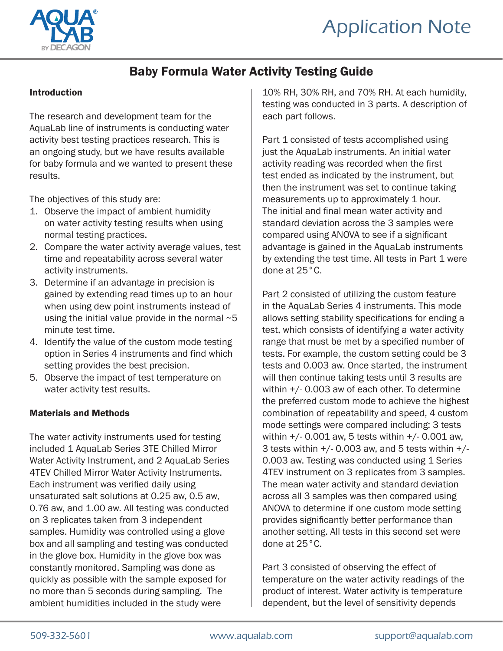



### Baby Formula Water Activity Testing Guide

#### Introduction

The research and development team for the AquaLab line of instruments is conducting water activity best testing practices research. This is an ongoing study, but we have results available for baby formula and we wanted to present these results.

The objectives of this study are:

- 1. Observe the impact of ambient humidity on water activity testing results when using normal testing practices.
- 2. Compare the water activity average values, test time and repeatability across several water activity instruments.
- 3. Determine if an advantage in precision is gained by extending read times up to an hour when using dew point instruments instead of using the initial value provide in the normal  $-5$ minute test time.
- 4. Identify the value of the custom mode testing option in Series 4 instruments and find which setting provides the best precision.
- 5. Observe the impact of test temperature on water activity test results.

#### Materials and Methods

The water activity instruments used for testing included 1 AquaLab Series 3TE Chilled Mirror Water Activity Instrument, and 2 AquaLab Series 4TEV Chilled Mirror Water Activity Instruments. Each instrument was verified daily using unsaturated salt solutions at 0.25 aw, 0.5 aw, 0.76 aw, and 1.00 aw. All testing was conducted on 3 replicates taken from 3 independent samples. Humidity was controlled using a glove box and all sampling and testing was conducted in the glove box. Humidity in the glove box was constantly monitored. Sampling was done as quickly as possible with the sample exposed for no more than 5 seconds during sampling. The ambient humidities included in the study were

10% RH, 30% RH, and 70% RH. At each humidity, testing was conducted in 3 parts. A description of each part follows.

Part 1 consisted of tests accomplished using just the AquaLab instruments. An initial water activity reading was recorded when the first test ended as indicated by the instrument, but then the instrument was set to continue taking measurements up to approximately 1 hour. The initial and final mean water activity and standard deviation across the 3 samples were compared using ANOVA to see if a significant advantage is gained in the AquaLab instruments by extending the test time. All tests in Part 1 were done at 25°C.

Part 2 consisted of utilizing the custom feature in the AquaLab Series 4 instruments. This mode allows setting stability specifications for ending a test, which consists of identifying a water activity range that must be met by a specified number of tests. For example, the custom setting could be 3 tests and 0.003 aw. Once started, the instrument will then continue taking tests until 3 results are within +/- 0.003 aw of each other. To determine the preferred custom mode to achieve the highest combination of repeatability and speed, 4 custom mode settings were compared including: 3 tests within +/- 0.001 aw, 5 tests within +/- 0.001 aw, 3 tests within  $+/-$  0.003 aw, and 5 tests within  $+/-$ 0.003 aw. Testing was conducted using 1 Series 4TEV instrument on 3 replicates from 3 samples. The mean water activity and standard deviation across all 3 samples was then compared using ANOVA to determine if one custom mode setting provides significantly better performance than another setting. All tests in this second set were done at 25°C.

Part 3 consisted of observing the effect of temperature on the water activity readings of the product of interest. Water activity is temperature dependent, but the level of sensitivity depends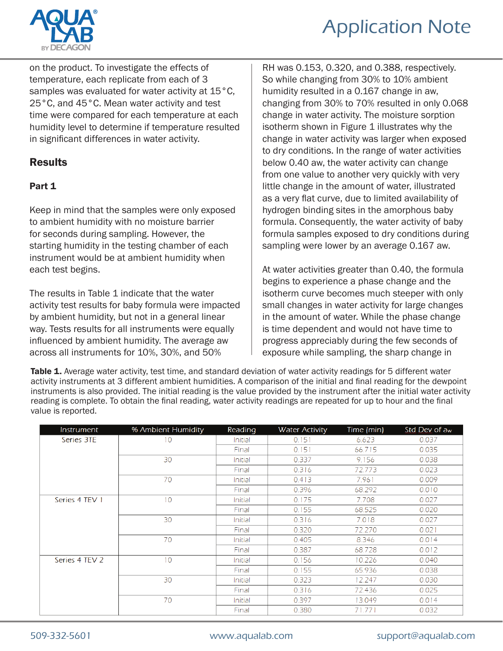

on the product. To investigate the effects of temperature, each replicate from each of 3 samples was evaluated for water activity at 15°C, 25°C, and 45°C. Mean water activity and test time were compared for each temperature at each humidity level to determine if temperature resulted in significant differences in water activity.

### **Results**

### Part 1

Keep in mind that the samples were only exposed to ambient humidity with no moisture barrier for seconds during sampling. However, the starting humidity in the testing chamber of each instrument would be at ambient humidity when each test begins.

The results in Table 1 indicate that the water activity test results for baby formula were impacted by ambient humidity, but not in a general linear way. Tests results for all instruments were equally influenced by ambient humidity. The average aw across all instruments for 10%, 30%, and 50%

RH was 0.153, 0.320, and 0.388, respectively. So while changing from 30% to 10% ambient humidity resulted in a 0.167 change in aw, changing from 30% to 70% resulted in only 0.068 change in water activity. The moisture sorption isotherm shown in Figure 1 illustrates why the change in water activity was larger when exposed to dry conditions. In the range of water activities below 0.40 aw, the water activity can change from one value to another very quickly with very little change in the amount of water, illustrated as a very flat curve, due to limited availability of hydrogen binding sites in the amorphous baby formula. Consequently, the water activity of baby formula samples exposed to dry conditions during sampling were lower by an average 0.167 aw.

At water activities greater than 0.40, the formula begins to experience a phase change and the isotherm curve becomes much steeper with only small changes in water activity for large changes in the amount of water. While the phase change is time dependent and would not have time to progress appreciably during the few seconds of exposure while sampling, the sharp change in

Table 1. Average water activity, test time, and standard deviation of water activity readings for 5 different water activity instruments at 3 different ambient humidities. A comparison of the initial and final reading for the dewpoint instruments is also provided. The initial reading is the value provided by the instrument after the initial water activity reading is complete. To obtain the final reading, water activity readings are repeated for up to hour and the final value is reported.

| Instrument     | % Ambient Humidity | Reading | <b>Water Activity</b> | Time (min) | Std Dev of a <sub>w</sub> |
|----------------|--------------------|---------|-----------------------|------------|---------------------------|
| Series 3TE     | 10                 | Initial | 0.151                 | 6.623      | 0.037                     |
|                |                    | Final   | 0.151                 | 66.715     | 0.035                     |
|                | 30                 | Initial | 0.337                 | 9.156      | 0.038                     |
|                |                    | Final   | 0.316                 | 72.773     | 0.023                     |
|                | 70                 | Initial | 0.413                 | 7.961      | 0.009                     |
|                |                    | Final   | 0.396                 | 68.292     | 0.010                     |
| Series 4 TEV 1 | 10                 | Initial | 0.175                 | 7.708      | 0.027                     |
|                |                    | Final   | 0.155                 | 68.525     | 0.020                     |
|                | 30                 | Initial | 0.316                 | 7.018      | 0.027                     |
|                |                    | Final   | 0.320                 | 72.270     | 0.021                     |
|                | 70                 | Initial | 0.405                 | 8.346      | 0.014                     |
|                |                    | Final   | 0.387                 | 68.728     | 0.012                     |
| Series 4 TEV 2 | 10                 | Initial | 0.156                 | 10.226     | 0.040                     |
|                |                    | Final   | 0.155                 | 65.936     | 0.038                     |
|                | 30                 | Initial | 0.323                 | 12.247     | 0.030                     |
|                |                    | Final   | 0.316                 | 72.436     | 0.025                     |
|                | 70                 | Initial | 0.397                 | 13.049     | 0.014                     |
|                |                    | Final   | 0.380                 | 71.771     | 0.032                     |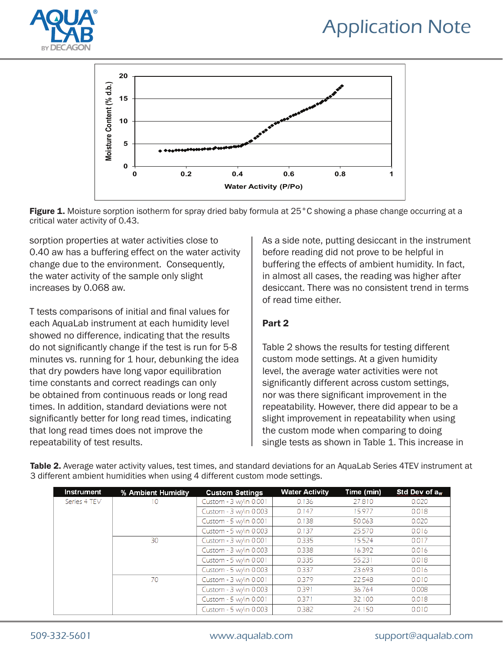



Figure 1. Moisture sorption isotherm for spray dried baby formula at 25°C showing a phase change occurring at a critical water activity of 0.43.

sorption properties at water activities close to 0.40 aw has a buffering effect on the water activity change due to the environment. Consequently, the water activity of the sample only slight increases by 0.068 aw.

T tests comparisons of initial and final values for each AquaLab instrument at each humidity level showed no difference, indicating that the results do not significantly change if the test is run for 5-8 minutes vs. running for 1 hour, debunking the idea that dry powders have long vapor equilibration time constants and correct readings can only be obtained from continuous reads or long read times. In addition, standard deviations were not significantly better for long read times, indicating that long read times does not improve the repeatability of test results.

As a side note, putting desiccant in the instrument before reading did not prove to be helpful in buffering the effects of ambient humidity. In fact, in almost all cases, the reading was higher after desiccant. There was no consistent trend in terms of read time either.

### Part 2

Table 2 shows the results for testing different custom mode settings. At a given humidity level, the average water activities were not significantly different across custom settings, nor was there significant improvement in the repeatability. However, there did appear to be a slight improvement in repeatability when using the custom mode when comparing to doing single tests as shown in Table 1. This increase in

| Instrument   | % Ambient Humidity | <b>Custom Settings</b> | <b>Water Activity</b> | Time (min) | Std Dev of a <sub>w</sub> |
|--------------|--------------------|------------------------|-----------------------|------------|---------------------------|
| Series 4 TEV | 10                 | Custom - 3 w/in 0.001  | 0.136                 | 27.810     | 0.020                     |
|              |                    | Custom - 3 w/in 0.003  | 0.147                 | 15.977     | 0.018                     |
|              |                    | Custom - 5 w/in 0.001  | 0.138                 | 50.063     | 0.020                     |
|              |                    | Custom - 5 w/in 0.003  | 0.137                 | 25.570     | 0.016                     |
|              | 30                 | Custom - 3 w/in 0.001  | 0.335                 | 15.524     | 0.017                     |
|              |                    | Custom - 3 w/in 0.003  | 0.338                 | 16.392     | 0.016                     |
|              |                    | Custom - 5 w/in 0.001  | 0.335                 | 55.231     | 0.018                     |
|              |                    | Custom - 5 w/in 0.003  | 0.337                 | 23.693     | 0.016                     |
|              | 70                 | Custom - 3 w/in 0.001  | 0.379                 | 22.548     | 0.010                     |
|              |                    | Custom - 3 w/in 0.003  | 0.391                 | 36.764     | 0.008                     |
|              |                    | Custom - 5 w/in 0.001  | 0.371                 | 32.100     | 0.018                     |
|              |                    | Custom - 5 w/in 0.003  | 0.382                 | 24.150     | 0.010                     |

Table 2. Average water activity values, test times, and standard deviations for an AquaLab Series 4TEV instrument at 3 different ambient humidities when using 4 different custom mode settings.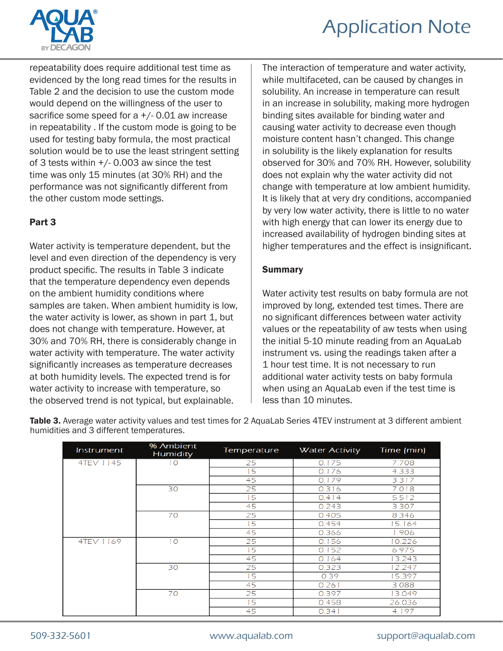

repeatability does require additional test time as evidenced by the long read times for the results in Table 2 and the decision to use the custom mode would depend on the willingness of the user to sacrifice some speed for  $a + (-0.01)$  aw increase in repeatability . If the custom mode is going to be used for testing baby formula, the most practical solution would be to use the least stringent setting of 3 tests within +/- 0.003 aw since the test time was only 15 minutes (at 30% RH) and the performance was not significantly different from the other custom mode settings.

### Part 3

Water activity is temperature dependent, but the level and even direction of the dependency is very product specific. The results in Table 3 indicate that the temperature dependency even depends on the ambient humidity conditions where samples are taken. When ambient humidity is low, the water activity is lower, as shown in part 1, but does not change with temperature. However, at 30% and 70% RH, there is considerably change in water activity with temperature. The water activity significantly increases as temperature decreases at both humidity levels. The expected trend is for water activity to increase with temperature, so the observed trend is not typical, but explainable.

The interaction of temperature and water activity, while multifaceted, can be caused by changes in solubility. An increase in temperature can result in an increase in solubility, making more hydrogen binding sites available for binding water and causing water activity to decrease even though moisture content hasn't changed. This change in solubility is the likely explanation for results observed for 30% and 70% RH. However, solubility does not explain why the water activity did not change with temperature at low ambient humidity. It is likely that at very dry conditions, accompanied by very low water activity, there is little to no water with high energy that can lower its energy due to increased availability of hydrogen binding sites at higher temperatures and the effect is insignificant.

#### Summary

Water activity test results on baby formula are not improved by long, extended test times. There are no significant differences between water activity values or the repeatability of aw tests when using the initial 5-10 minute reading from an AquaLab instrument vs. using the readings taken after a 1 hour test time. It is not necessary to run additional water activity tests on baby formula when using an AquaLab even if the test time is less than 10 minutes.

| Instrument | % Ambient<br>Humidity | Temperature | <b>Water Activity</b> | Time (min) |
|------------|-----------------------|-------------|-----------------------|------------|
| 4TEV 1145  | 10                    | 25          | 0.175                 | 7.708      |
|            |                       | 15          | 0.176                 | 4.333      |
|            |                       | 45          | 0.179                 | 3.317      |
|            | 30                    | 25          | 0.316                 | 7.018      |
|            |                       | 15          | 0.414                 | 5.512      |
|            |                       | 45          | 0.243                 | 3.307      |
|            | 70                    | 25          | 0.405                 | 8.346      |
|            |                       | 15          | 0.454                 | 5.164      |
|            |                       | 45          | 0.366                 | 1.906      |
| 4TEV 1169  | 10                    | 25          | 0.156                 | 0.226      |
|            |                       | 15          | 0.152                 | 6.975      |
|            |                       | 45          | 0.164                 | 13.243     |
|            | 30                    | 25          | 0.323                 | 12.247     |
|            |                       | 15          | 0.39                  | 5.397      |
|            |                       | 45          | 0.261                 | 3.088      |
|            | 70                    | 25          | 0.397                 | 13.049     |
|            |                       | 15          | 0.458                 | 26.036     |
|            |                       | 45          | 0.341                 | 4.197      |

Table 3. Average water activity values and test times for 2 AquaLab Series 4TEV instrument at 3 different ambient humidities and 3 different temperatures.